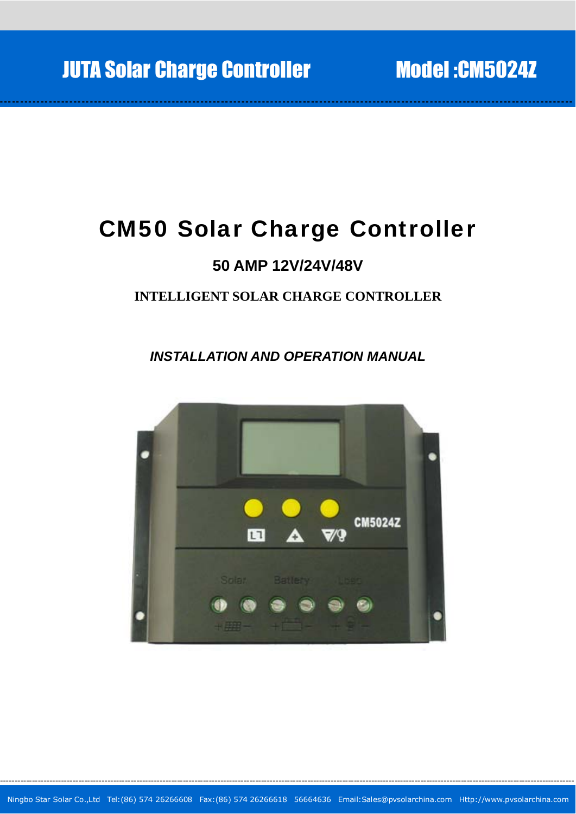# CM50 Solar Charge Controller

-- -- - -- -- -- - -- -- - -- -- - -- -- - -- -- -- - -- -- - -- -- - -- -- - -- -- -- - -- -- - -- -- - -- -- - -- -- -- - -- -- - -- -- - -- -- - -- -- -- - -- -- - -- -- - -- -- - -- -- -- - -- -- - -- -- - -- -- - --

## **50 AMP 12V/24V/48V**

### **INTELLIGENT SOLAR CHARGE CONTROLLER**

*INSTALLATION AND OPERATION MANUAL* 

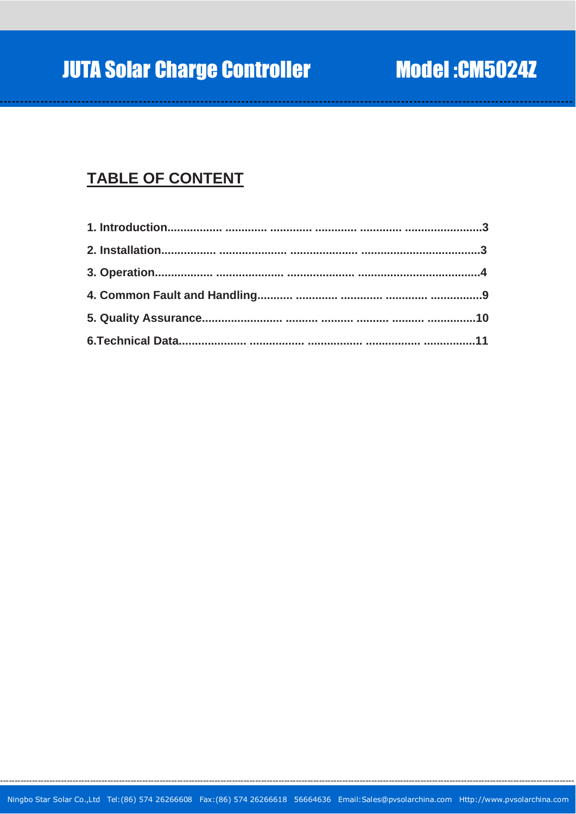# **TABLE OF CONTENT**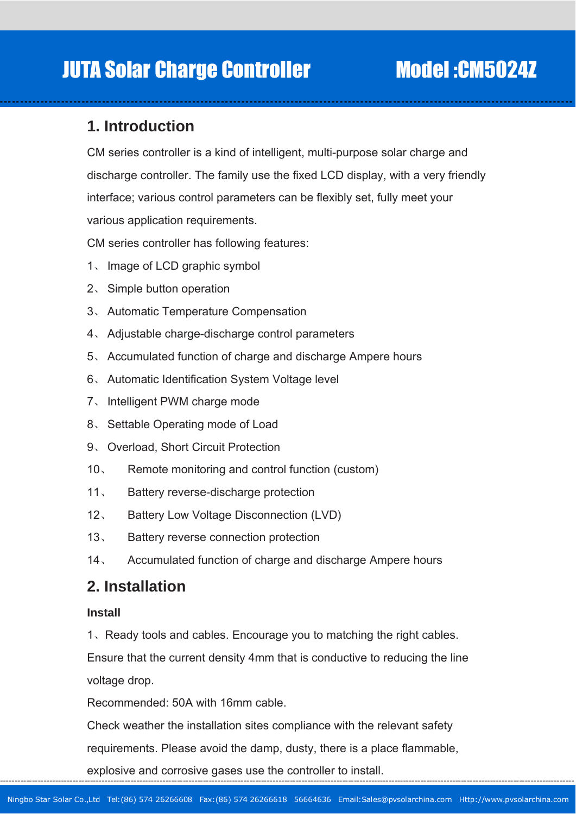### **1. Introduction**

CM series controller is a kind of intelligent, multi-purpose solar charge and discharge controller. The family use the fixed LCD display, with a very friendly interface; various control parameters can be flexibly set, fully meet your various application requirements.

-- -- - -- -- -- - -- -- - -- -- - -- -- - -- -- -- - -- -- - -- -- - -- -- - -- -- -- - -- -- - -- -- - -- -- - -- -- -- - -- -- - -- -- - -- -- - -- -- -- - -- -- - -- -- - -- -- - -- -- -- - -- -- - -- -- - -- -- - --

CM series controller has following features:

- 1、 Image of LCD graphic symbol
- 2、 Simple button operation
- 3、 Automatic Temperature Compensation
- 4、 Adjustable charge-discharge control parameters
- 5、 Accumulated function of charge and discharge Ampere hours
- 6、 Automatic Identification System Voltage level
- 7、 Intelligent PWM charge mode
- 8、 Settable Operating mode of Load
- 9、 Overload, Short Circuit Protection
- 10、 Remote monitoring and control function (custom)
- 11、 Battery reverse-discharge protection
- 12、 Battery Low Voltage Disconnection (LVD)
- 13、 Battery reverse connection protection
- 14、 Accumulated function of charge and discharge Ampere hours

### **2. Installation**

### **Install**

1、Ready tools and cables. Encourage you to matching the right cables.

Ensure that the current density 4mm that is conductive to reducing the line voltage drop.

Recommended: 50A with 16mm cable.

Check weather the installation sites compliance with the relevant safety

requirements. Please avoid the damp, dusty, there is a place flammable,

explosive and corrosive gases use the controller to install.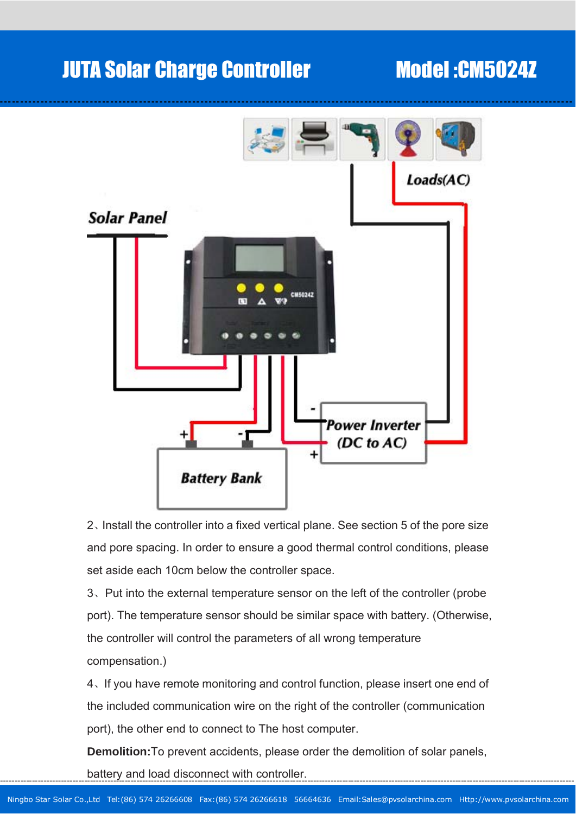# JUTA Solar Charge Controller Model :CM5024Z



2、Install the controller into a fixed vertical plane. See section 5 of the pore size and pore spacing. In order to ensure a good thermal control conditions, please set aside each 10cm below the controller space.

3、Put into the external temperature sensor on the left of the controller (probe port). The temperature sensor should be similar space with battery. (Otherwise, the controller will control the parameters of all wrong temperature compensation.)

4、If you have remote monitoring and control function, please insert one end of the included communication wire on the right of the controller (communication port), the other end to connect to The host computer.

**Demolition:**To prevent accidents, please order the demolition of solar panels, battery and load disconnect with controller.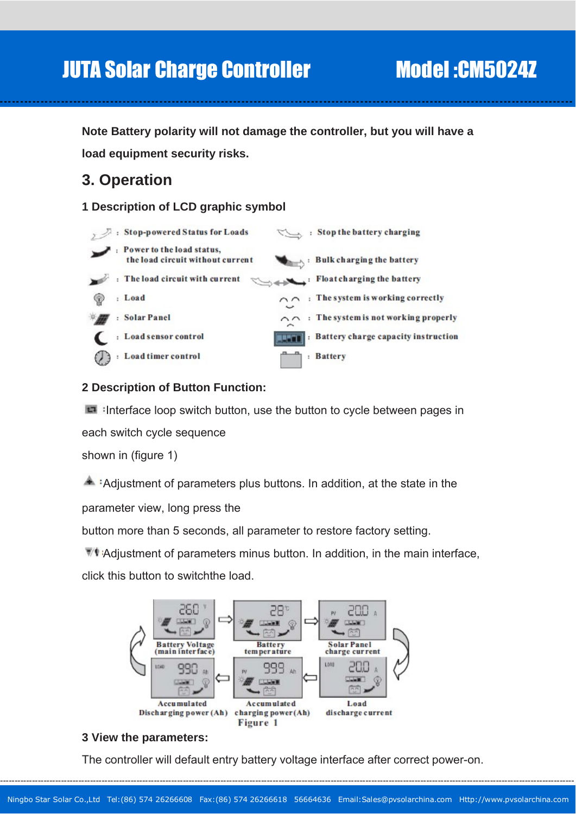**Note Battery polarity will not damage the controller, but you will have a load equipment security risks.** 

-- -- - -- -- -- - -- -- - -- -- - -- -- - -- -- -- - -- -- - -- -- - -- -- - -- -- -- - -- -- - -- -- - -- -- - -- -- -- - -- -- - -- -- - -- -- - -- -- -- - -- -- - -- -- - -- -- - -- -- -- - -- -- - -- -- - -- -- - --

## **3. Operation**

**1 Description of LCD graphic symbol** 



### **2 Description of Button Function:**

Interface loop switch button, use the button to cycle between pages in each switch cycle sequence

shown in (figure 1)

A :Adjustment of parameters plus buttons. In addition, at the state in the parameter view, long press the

button more than 5 seconds, all parameter to restore factory setting.

Adjustment of parameters minus button. In addition, in the main interface, click this button to switchthe load.



### **3 View the parameters:**

The controller will default entry battery voltage interface after correct power-on.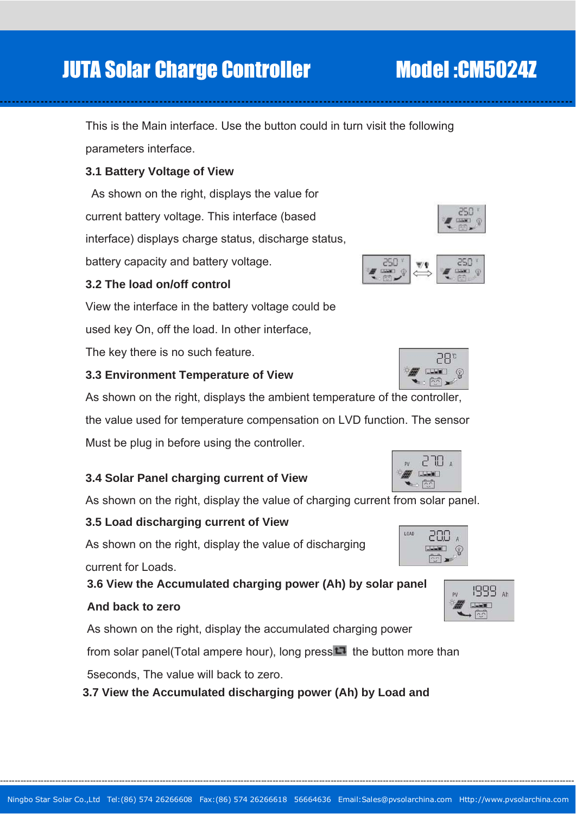------------------------------------------------------------------------------------------------------------------------------------------------------------------------------------------------------

# JUTA Solar Charge Controller Model :CM5024Z

This is the Main interface. Use the button could in turn visit the following parameters interface.

-- -- - -- -- -- - -- -- - -- -- - -- -- - -- -- -- - -- -- - -- -- - -- -- - -- -- -- - -- -- - -- -- - -- -- - -- -- -- - -- -- - -- -- - -- -- - -- -- -- - -- -- - -- -- - -- -- - -- -- -- - -- -- - -- -- - -- -- - --

### **3.1 Battery Voltage of View**

 As shown on the right, displays the value for current battery voltage. This interface (based interface) displays charge status, discharge status, battery capacity and battery voltage.

### **3.2 The load on/off control**

View the interface in the battery voltage could be

used key On, off the load. In other interface,

The key there is no such feature.

### **3.3 Environment Temperature of View**

As shown on the right, displays the ambient temperature of the controller,

the value used for temperature compensation on LVD function. The sensor Must be plug in before using the controller.

### **3.4 Solar Panel charging current of View**

As shown on the right, display the value of charging current from solar panel.

### **3.5 Load discharging current of View**

As shown on the right, display the value of discharging

current for Loads.

**3.6 View the Accumulated charging power (Ah) by solar panel** 

### **And back to zero**

As shown on the right, display the accumulated charging power

from solar panel(Total ampere hour), long press  $\Box$  the button more than

5seconds, The value will back to zero.

**3.7 View the Accumulated discharging power (Ah) by Load and** 





ann  $\blacksquare$ ¢











, חרק **FULLE**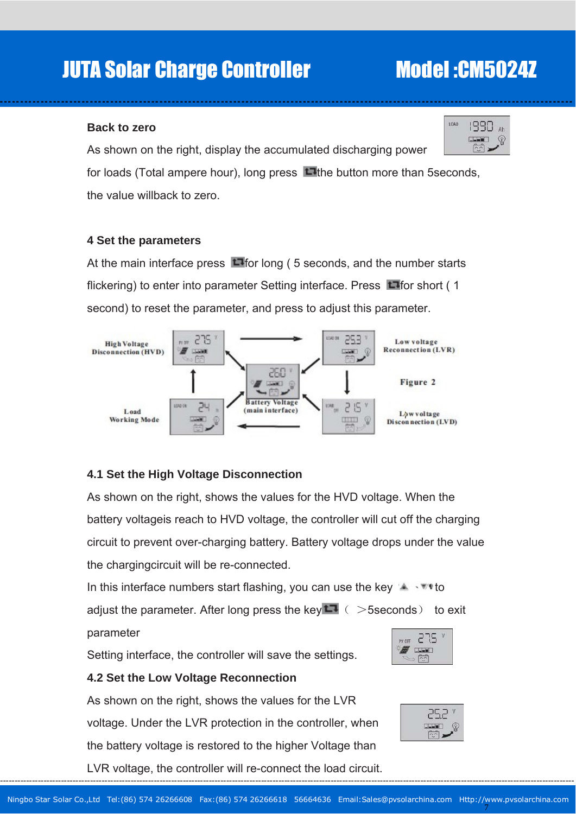# JUTA Solar Charge Controller Model :CM5024Z

#### **Back to zero**

As shown on the right, display the accumulated discharging power

for loads (Total ampere hour), long press  $\Box$  the button more than 5seconds, the value willback to zero.

-- -- - -- -- -- - -- -- - -- -- - -- -- - -- -- -- - -- -- - -- -- - -- -- - -- -- -- - -- -- - -- -- - -- -- - -- -- -- - -- -- - -- -- - -- -- - -- -- -- - -- -- - -- -- - -- -- - -- -- -- - -- -- - -- -- - -- -- - --

#### **4 Set the parameters**

At the main interface press  $\Box$  for long (5 seconds, and the number starts flickering) to enter into parameter Setting interface. Press  $\Box$  for short (1 second) to reset the parameter, and press to adjust this parameter.



### **4.1 Set the High Voltage Disconnection**

As shown on the right, shows the values for the HVD voltage. When the battery voltageis reach to HVD voltage, the controller will cut off the charging circuit to prevent over-charging battery. Battery voltage drops under the value the chargingcircuit will be re-connected.

In this interface numbers start flashing, you can use the key  $\mathbb{R} \rightarrow \mathbb{R}$  to adjust the parameter. After long press the key  $\Box$  (  $>$  5seconds ) to exit parameter

275

### **4.2 Set the Low Voltage Reconnection**

As shown on the right, shows the values for the LVR voltage. Under the LVR protection in the controller, when the battery voltage is restored to the higher Voltage than LVR voltage, the controller will re-connect the load circuit.

Setting interface, the controller will save the settings.



7

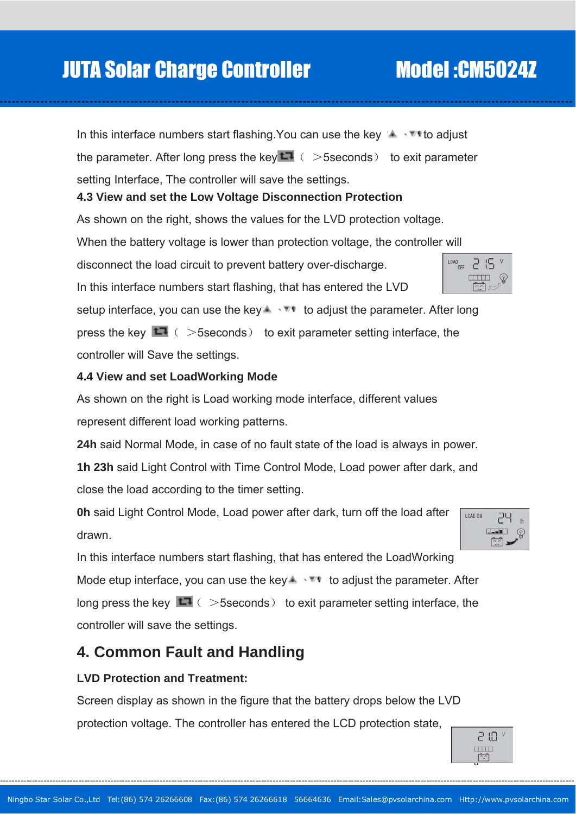Ningbo Star Solar Co.,Ltd Tel:(86) 574 26266608 Fax:(86) 574 26266618 56664636 Email:Sales@pvsolarchina.com Http://www.pvsolarchina.com

-- -- - -- -- -- - -- -- - -- -- - -- -- - -- -- -- - -- -- - -- -- - -- -- - -- -- -- - -- -- - -- -- - -- -- - -- -- -- - -- -- - -- -- - -- -- - -- -- -- - -- -- - -- -- - -- -- - -- -- -- - -- -- - -- -- - -- -- - --

In this interface numbers start flashing.You can use the key to adjust the parameter. After long press the key  $\Box$  ( > 5seconds ) to exit parameter setting Interface, The controller will save the settings.

### **4.3 View and set the Low Voltage Disconnection Protection**

As shown on the right, shows the values for the LVD protection voltage.

When the battery voltage is lower than protection voltage, the c ontroller will

disconnect the load circuit to prevent battery over-discharge.

In this interface numbers start flashing, that has entered the LVD

setup interface, you can use the key  $\blacktriangle$   $\blacktriangledown$  to adjust the parameter. After long press the key  $\Box$  (  $>$  5seconds ) to exit parameter setting interface, the controller will Save the settings.

### **.4 View and set LoadWorking Mode 4**

As shown on the right is Load working mode interface, different values represent different load working patterns.

24h said Normal Mode, in case of no fault state of the load is always in power.

**1h 23h** said Light Control with Time Control Mode, Load power after dark, and close the load according to the timer setting.

**0h** said Light Control Mode, Load power after dark, turn off the load after drawn.

In this interface numbers start flashing, that has entered the LoadWorking Mode etup interface, you can use the key  $\blacktriangle$   $\blacktriangledown$  to adjust the parameter. After long press the key  $\Box$  (  $>$  5seconds) to exit parameter setting interface, the controller will save the settings.

# **4. Common Fault and H andling**

### **LVD Protection and Treatment:**

Screen display as shown in the figure that the battery drops below the LVD protection voltage. The controller has entered the LCD protection state,





-2 15  $\Box$ 

 $\begin{array}{c}\n\text{LOAD} \\
\text{OFF}\n\end{array}$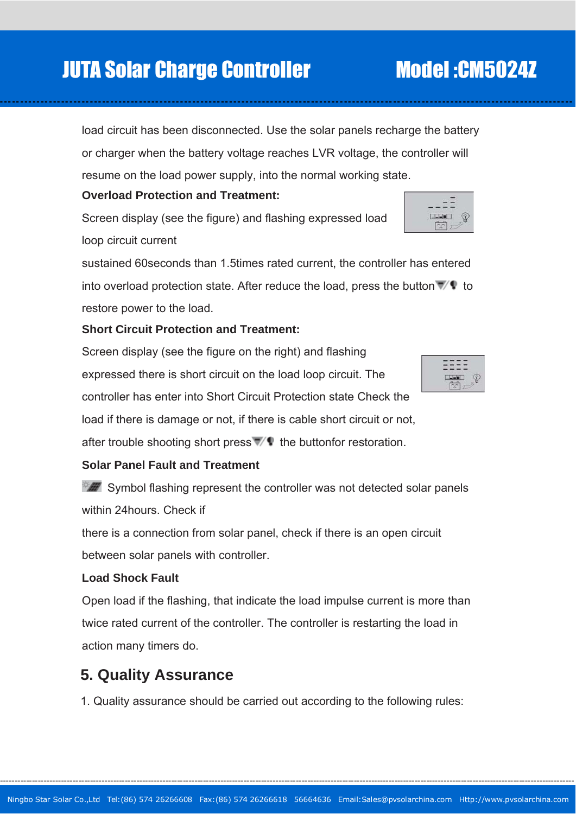------------------------------------------------------------------------------------------------------------------------------------------------------------------------------------------------------

# JUTA Solar Charge Controller Model :CM5024Z

load circuit has been disconnected. Use the solar panels recharge the battery or charger when the battery voltage reaches LVR voltage, the controller will resume on the load power supply, into the normal working state.

-- -- - -- -- -- - -- -- - -- -- - -- -- - -- -- -- - -- -- - -- -- - -- -- - -- -- -- - -- -- - -- -- - -- -- - -- -- -- - -- -- - -- -- - -- -- - -- -- -- - -- -- - -- -- - -- -- - -- -- -- - -- -- - -- -- - -- -- - --

### **Overload Protection and Treatment:**

Screen display (see the figure) and flashing expressed load loop circuit current

sustained 60seconds than 1.5times rated current, the controller has entered into overload protection state. After reduce the load, press the button  $\mathbb{Z}^{\bullet}$  to restore power to the load.

### **Short Circuit Protection and Treatment:**

Screen display (see the figure on the right) and flashing expressed there is short circuit on the load loop circuit. The controller has enter into Short Circuit Protection state Check the

load if there is damage or not, if there is cable short circuit or not,

after trouble shooting short press  $\mathbb{Z}/\mathbb{Q}$  the buttonfor restoration.

### **Solar Panel Fault and Treatment**

 $\mathbb{S}$  Symbol flashing represent the controller was not detected solar panels with in 24hours. Check if

there is a connection from solar panel, check if there is an open circuit

between solar panels with controller.

### **Load Shock Fault**

Open load if the flashing, that indicate the load impulse current is more than twice rated current of the controller. The controller is restarting the load in action many timers do.

### **. Quality Assurance 5**

1. Quality assurance should be carried out according to the following rules:



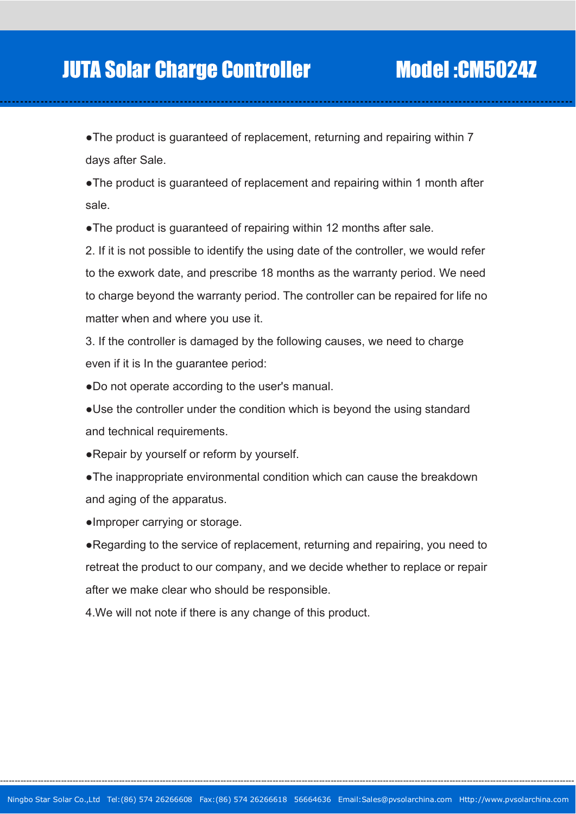• The product is guaranteed of replacement, returning and repairing within 7 days after Sale.

-- -- - -- -- -- - -- -- - -- -- - -- -- - -- -- -- - -- -- - -- -- - -- -- - -- -- -- - -- -- - -- -- - -- -- - -- -- -- - -- -- - -- -- - -- -- - -- -- -- - -- -- - -- -- - -- -- - -- -- -- - -- -- - -- -- - -- -- - --

• The product is guaranteed of replacement and repairing within 1 month after sale.

• The product is guaranteed of repairing within 12 months after sale.

2. If it is not possible to identify the using date of the controller, we would refer to the exwork date, and prescribe 18 months as the warranty period. We need to charge beyond the warranty period. The controller can be repaired for life no matter when and where you use it.

3. If the controller is damaged by the following causes, we need to charge even if it is In the guarantee period:

.Do not operate according to the user's manual.

• Use the controller under the condition which is beyond the using standard and technical requirements.

• Repair by yourself or reform by yourself.

• The inappropriate environmental condition which can cause the breakdown and aging of the apparatus.

• Improper carrying or storage.

• Regarding to the service of replacement, returning and repairing, you need to retreat the product to our company, and we decide whether to replace or repair after we make clear who should be responsible.

4. We will not note if there is any change of this product.